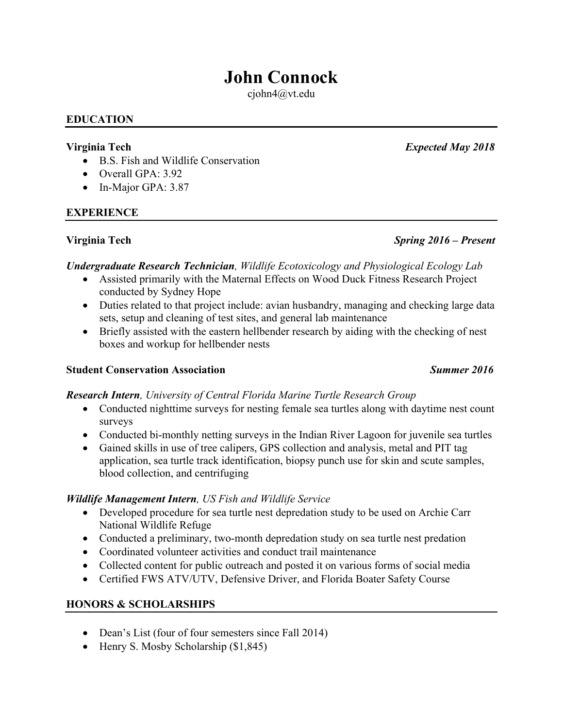# **John Connock**

cjohn4@vt.edu

#### **EDUCATION**

- B.S. Fish and Wildlife Conservation
- Overall GPA: 3.92
- In-Major GPA: 3.87

### **EXPERIENCE**

# *Undergraduate Research Technician, Wildlife Ecotoxicology and Physiological Ecology Lab*

- Assisted primarily with the Maternal Effects on Wood Duck Fitness Research Project conducted by Sydney Hope
- Duties related to that project include: avian husbandry, managing and checking large data sets, setup and cleaning of test sites, and general lab maintenance
- Briefly assisted with the eastern hellbender research by aiding with the checking of nest boxes and workup for hellbender nests

### **Student Conservation Association** *Summer 2016*

## *Research Intern, University of Central Florida Marine Turtle Research Group*

- Conducted nighttime surveys for nesting female sea turtles along with daytime nest count surveys
- Conducted bi-monthly netting surveys in the Indian River Lagoon for juvenile sea turtles
- Gained skills in use of tree calipers, GPS collection and analysis, metal and PIT tag application, sea turtle track identification, biopsy punch use for skin and scute samples, blood collection, and centrifuging

#### *Wildlife Management Intern, US Fish and Wildlife Service*

- Developed procedure for sea turtle nest depredation study to be used on Archie Carr National Wildlife Refuge
- Conducted a preliminary, two-month depredation study on sea turtle nest predation
- Coordinated volunteer activities and conduct trail maintenance
- Collected content for public outreach and posted it on various forms of social media
- Certified FWS ATV/UTV, Defensive Driver, and Florida Boater Safety Course

## **HONORS & SCHOLARSHIPS**

- Dean's List (four of four semesters since Fall 2014)
- Henry S. Mosby Scholarship (\$1,845)

## **Virginia Tech** *Spring 2016 – Present*

**Virginia Tech** *Expected May 2018*